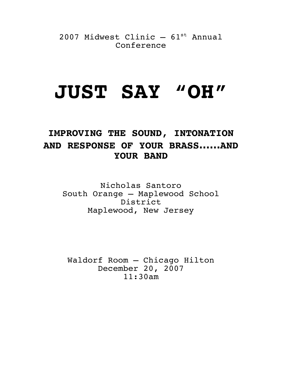2007 Midwest Clinic  $-61$ <sup>st</sup> Annual Conference

# **JUST SAY "OH"**

## **IMPROVING THE SOUND, INTONATION AND RESPONSE OF YOUR BRASS……AND YOUR BAND**

Nicholas Santoro South Orange – Maplewood School District Maplewood, New Jersey

Waldorf Room – Chicago Hilton December 20, 2007 11:30am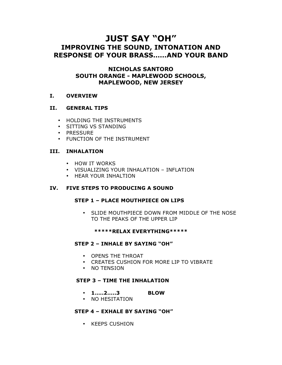### **JUST SAY "OH" IMPROVING THE SOUND, INTONATION AND RESPONSE OF YOUR BRASS……AND YOUR BAND**

#### **NICHOLAS SANTORO SOUTH ORANGE - MAPLEWOOD SCHOOLS, MAPLEWOOD, NEW JERSEY**

#### **I. OVERVIEW**

#### **II. GENERAL TIPS**

- HOLDING THE INSTRUMENTS
- SITTING VS STANDING
- PRESSURE
- FUNCTION OF THE INSTRUMENT

#### **III. INHALATION**

- HOW IT WORKS
- VISUALIZING YOUR INHALATION INFLATION
- HEAR YOUR INHALTION

#### **IV. FIVE STEPS TO PRODUCING A SOUND**

#### **STEP 1 – PLACE MOUTHPIECE ON LIPS**

• SLIDE MOUTHPIECE DOWN FROM MIDDLE OF THE NOSE TO THE PEAKS OF THE UPPER LIP

#### **\*\*\*\*\*RELAX EVERYTHING\*\*\*\*\***

#### **STEP 2 – INHALE BY SAYING "OH"**

- OPENS THE THROAT
- CREATES CUSHION FOR MORE LIP TO VIBRATE
- NO TENSION

#### **STEP 3 – TIME THE INHALATION**

- **1…..2…..3 BLOW**
- NO HESITATION

#### **STEP 4 – EXHALE BY SAYING "OH"**

• KEEPS CUSHION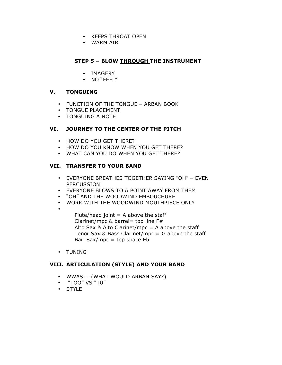- KEEPS THROAT OPEN
- WARM AIR

#### **STEP 5 – BLOW THROUGH THE INSTRUMENT**

- IMAGERY
- NO "FEEL"

#### **V. TONGUING**

- FUNCTION OF THE TONGUE ARBAN BOOK
- TONGUE PLACEMENT
- TONGUING A NOTE

#### **VI. JOURNEY TO THE CENTER OF THE PITCH**

- HOW DO YOU GET THERE?
- HOW DO YOU KNOW WHEN YOU GET THERE?
- WHAT CAN YOU DO WHEN YOU GET THERE?

#### **VII. TRANSFER TO YOUR BAND**

- EVERYONE BREATHES TOGETHER SAYING "OH" EVEN PERCUSSION!
- EVERYONE BLOWS TO A POINT AWAY FROM THEM
- "OH" AND THE WOODWIND EMBOUCHURE
- WORK WITH THE WOODWIND MOUTHPIECE ONLY
- •

Flute/head joint  $=$  A above the staff Clarinet/mpc & barrel= top line  $F#$ Alto Sax & Alto Clarinet/mpc  $= A$  above the staff Tenor Sax & Bass Clarinet/mpc =  $G$  above the staff Bari Sax/mpc  $=$  top space Eb

• TUNING

#### **VIII. ARTICULATION (STYLE) AND YOUR BAND**

- WWAS…..(WHAT WOULD ARBAN SAY?)
- "TOO" VS "TU"
- STYLE